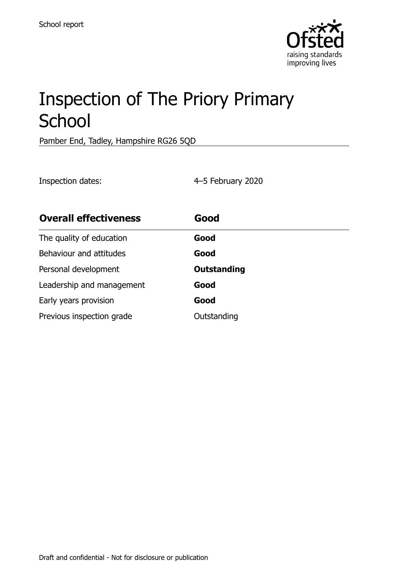

# Inspection of The Priory Primary **School**

Pamber End, Tadley, Hampshire RG26 5QD

Inspection dates: 4–5 February 2020

| <b>Overall effectiveness</b> | Good               |
|------------------------------|--------------------|
| The quality of education     | Good               |
| Behaviour and attitudes      | Good               |
| Personal development         | <b>Outstanding</b> |
| Leadership and management    | Good               |
| Early years provision        | Good               |
| Previous inspection grade    | Outstanding        |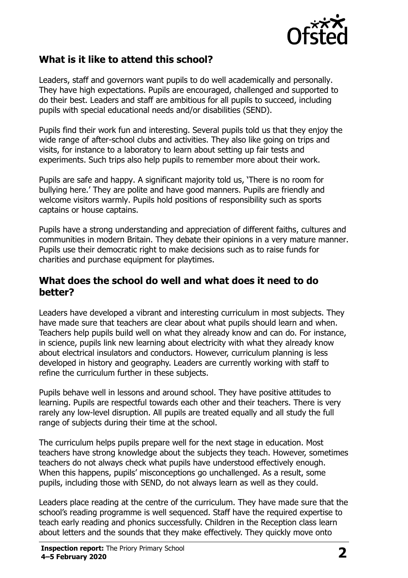

## **What is it like to attend this school?**

Leaders, staff and governors want pupils to do well academically and personally. They have high expectations. Pupils are encouraged, challenged and supported to do their best. Leaders and staff are ambitious for all pupils to succeed, including pupils with special educational needs and/or disabilities (SEND).

Pupils find their work fun and interesting. Several pupils told us that they enjoy the wide range of after-school clubs and activities. They also like going on trips and visits, for instance to a laboratory to learn about setting up fair tests and experiments. Such trips also help pupils to remember more about their work.

Pupils are safe and happy. A significant majority told us, 'There is no room for bullying here.' They are polite and have good manners. Pupils are friendly and welcome visitors warmly. Pupils hold positions of responsibility such as sports captains or house captains.

Pupils have a strong understanding and appreciation of different faiths, cultures and communities in modern Britain. They debate their opinions in a very mature manner. Pupils use their democratic right to make decisions such as to raise funds for charities and purchase equipment for playtimes.

#### **What does the school do well and what does it need to do better?**

Leaders have developed a vibrant and interesting curriculum in most subjects. They have made sure that teachers are clear about what pupils should learn and when. Teachers help pupils build well on what they already know and can do. For instance, in science, pupils link new learning about electricity with what they already know about electrical insulators and conductors. However, curriculum planning is less developed in history and geography. Leaders are currently working with staff to refine the curriculum further in these subjects.

Pupils behave well in lessons and around school. They have positive attitudes to learning. Pupils are respectful towards each other and their teachers. There is very rarely any low-level disruption. All pupils are treated equally and all study the full range of subjects during their time at the school.

The curriculum helps pupils prepare well for the next stage in education. Most teachers have strong knowledge about the subjects they teach. However, sometimes teachers do not always check what pupils have understood effectively enough. When this happens, pupils' misconceptions go unchallenged. As a result, some pupils, including those with SEND, do not always learn as well as they could.

Leaders place reading at the centre of the curriculum. They have made sure that the school's reading programme is well sequenced. Staff have the required expertise to teach early reading and phonics successfully. Children in the Reception class learn about letters and the sounds that they make effectively. They quickly move onto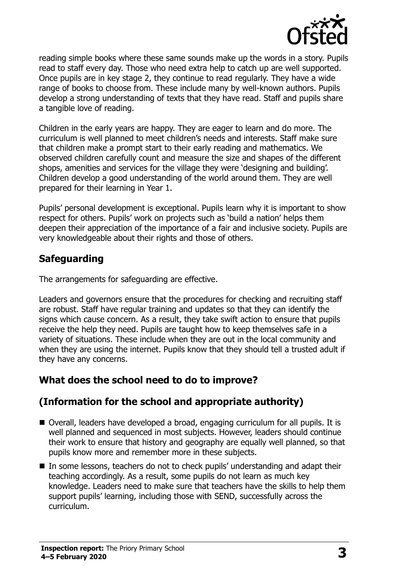

reading simple books where these same sounds make up the words in a story. Pupils read to staff every day. Those who need extra help to catch up are well supported. Once pupils are in key stage 2, they continue to read regularly. They have a wide range of books to choose from. These include many by well-known authors. Pupils develop a strong understanding of texts that they have read. Staff and pupils share a tangible love of reading.

Children in the early years are happy. They are eager to learn and do more. The curriculum is well planned to meet children's needs and interests. Staff make sure that children make a prompt start to their early reading and mathematics. We observed children carefully count and measure the size and shapes of the different shops, amenities and services for the village they were 'designing and building'. Children develop a good understanding of the world around them. They are well prepared for their learning in Year 1.

Pupils' personal development is exceptional. Pupils learn why it is important to show respect for others. Pupils' work on projects such as 'build a nation' helps them deepen their appreciation of the importance of a fair and inclusive society. Pupils are very knowledgeable about their rights and those of others.

## **Safeguarding**

The arrangements for safeguarding are effective.

Leaders and governors ensure that the procedures for checking and recruiting staff are robust. Staff have regular training and updates so that they can identify the signs which cause concern. As a result, they take swift action to ensure that pupils receive the help they need. Pupils are taught how to keep themselves safe in a variety of situations. These include when they are out in the local community and when they are using the internet. Pupils know that they should tell a trusted adult if they have any concerns.

### **What does the school need to do to improve?**

## **(Information for the school and appropriate authority)**

- Overall, leaders have developed a broad, engaging curriculum for all pupils. It is well planned and sequenced in most subjects. However, leaders should continue their work to ensure that history and geography are equally well planned, so that pupils know more and remember more in these subjects.
- In some lessons, teachers do not to check pupils' understanding and adapt their teaching accordingly. As a result, some pupils do not learn as much key knowledge. Leaders need to make sure that teachers have the skills to help them support pupils' learning, including those with SEND, successfully across the curriculum.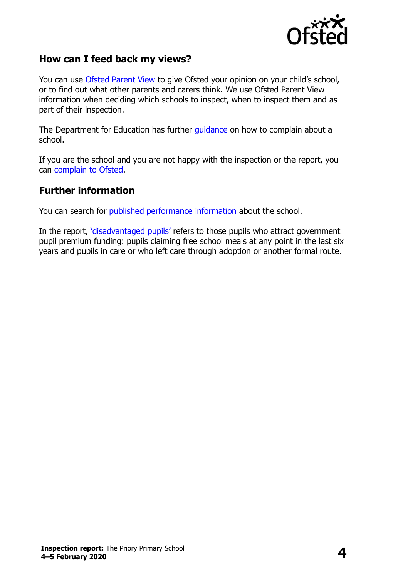

#### **How can I feed back my views?**

You can use [Ofsted Parent View](http://parentview.ofsted.gov.uk/) to give Ofsted your opinion on your child's school, or to find out what other parents and carers think. We use Ofsted Parent View information when deciding which schools to inspect, when to inspect them and as part of their inspection.

The Department for Education has further [guidance](http://www.gov.uk/complain-about-school) on how to complain about a school.

If you are the school and you are not happy with the inspection or the report, you can [complain to Ofsted.](http://www.gov.uk/complain-ofsted-report)

#### **Further information**

You can search for [published performance information](http://www.compare-school-performance.service.gov.uk/) about the school.

In the report, '[disadvantaged pupils](http://www.gov.uk/guidance/pupil-premium-information-for-schools-and-alternative-provision-settings)' refers to those pupils who attract government pupil premium funding: pupils claiming free school meals at any point in the last six years and pupils in care or who left care through adoption or another formal route.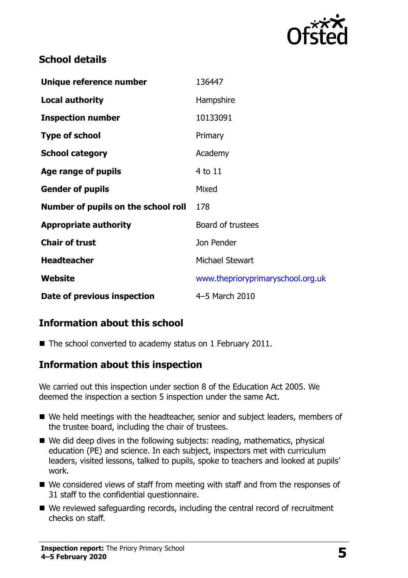

## **School details**

| Unique reference number             | 136447                            |
|-------------------------------------|-----------------------------------|
| <b>Local authority</b>              | Hampshire                         |
| <b>Inspection number</b>            | 10133091                          |
| <b>Type of school</b>               | Primary                           |
| <b>School category</b>              | Academy                           |
| Age range of pupils                 | 4 to 11                           |
| <b>Gender of pupils</b>             | Mixed                             |
| Number of pupils on the school roll | 178                               |
| <b>Appropriate authority</b>        | Board of trustees                 |
| <b>Chair of trust</b>               | Jon Pender                        |
| <b>Headteacher</b>                  | Michael Stewart                   |
| Website                             | www.theprioryprimaryschool.org.uk |
| Date of previous inspection         | 4-5 March 2010                    |

## **Information about this school**

■ The school converted to academy status on 1 February 2011.

### **Information about this inspection**

We carried out this inspection under section 8 of the Education Act 2005. We deemed the inspection a section 5 inspection under the same Act.

- We held meetings with the headteacher, senior and subject leaders, members of the trustee board, including the chair of trustees.
- We did deep dives in the following subjects: reading, mathematics, physical education (PE) and science. In each subject, inspectors met with curriculum leaders, visited lessons, talked to pupils, spoke to teachers and looked at pupils' work.
- We considered views of staff from meeting with staff and from the responses of 31 staff to the confidential questionnaire.
- We reviewed safeguarding records, including the central record of recruitment checks on staff.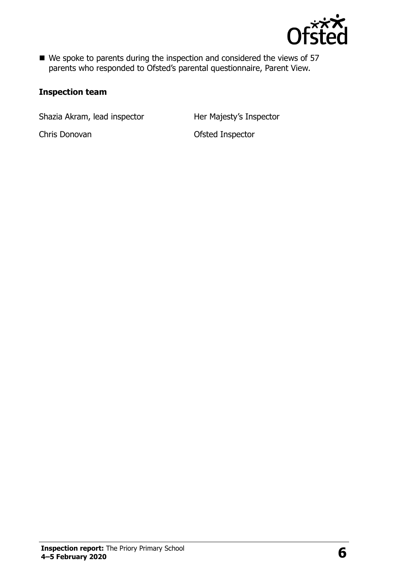

■ We spoke to parents during the inspection and considered the views of 57 parents who responded to Ofsted's parental questionnaire, Parent View.

#### **Inspection team**

Shazia Akram, lead inspector **Her Majesty's Inspector** 

Chris Donovan **Ofsted Inspector**